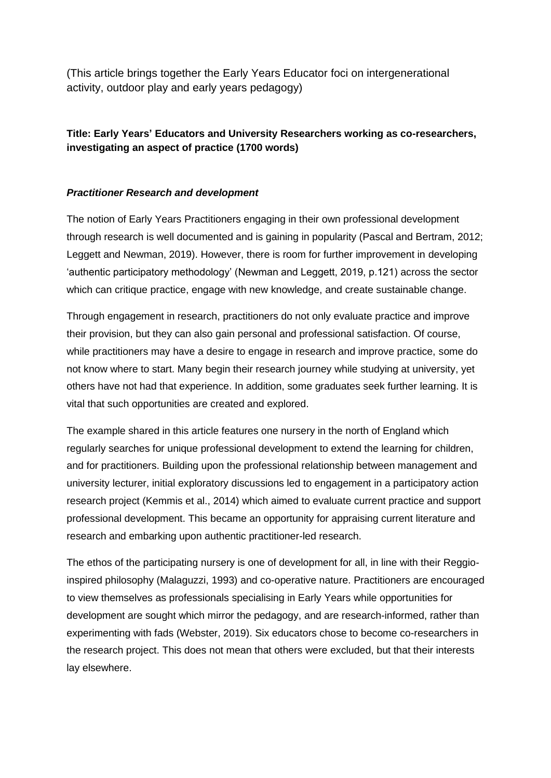(This article brings together the Early Years Educator foci on intergenerational activity, outdoor play and early years pedagogy)

# **Title: Early Years' Educators and University Researchers working as co-researchers, investigating an aspect of practice (1700 words)**

## *Practitioner Research and development*

The notion of Early Years Practitioners engaging in their own professional development through research is well documented and is gaining in popularity (Pascal and Bertram, 2012; Leggett and Newman, 2019). However, there is room for further improvement in developing 'authentic participatory methodology' (Newman and Leggett, 2019, p.121) across the sector which can critique practice, engage with new knowledge, and create sustainable change.

Through engagement in research, practitioners do not only evaluate practice and improve their provision, but they can also gain personal and professional satisfaction. Of course, while practitioners may have a desire to engage in research and improve practice, some do not know where to start. Many begin their research journey while studying at university, yet others have not had that experience. In addition, some graduates seek further learning. It is vital that such opportunities are created and explored.

The example shared in this article features one nursery in the north of England which regularly searches for unique professional development to extend the learning for children, and for practitioners. Building upon the professional relationship between management and university lecturer, initial exploratory discussions led to engagement in a participatory action research project (Kemmis et al., 2014) which aimed to evaluate current practice and support professional development. This became an opportunity for appraising current literature and research and embarking upon authentic practitioner-led research.

The ethos of the participating nursery is one of development for all, in line with their Reggioinspired philosophy (Malaguzzi, 1993) and co-operative nature. Practitioners are encouraged to view themselves as professionals specialising in Early Years while opportunities for development are sought which mirror the pedagogy, and are research-informed, rather than experimenting with fads (Webster, 2019). Six educators chose to become co-researchers in the research project. This does not mean that others were excluded, but that their interests lay elsewhere.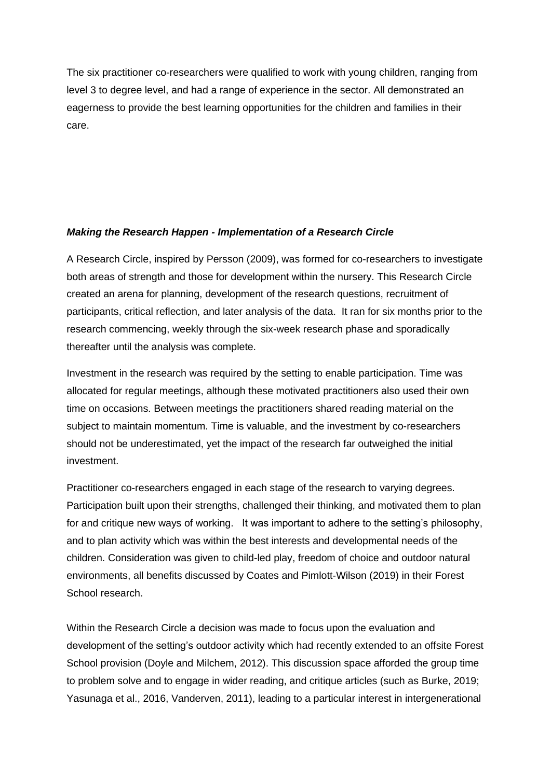The six practitioner co-researchers were qualified to work with young children, ranging from level 3 to degree level, and had a range of experience in the sector. All demonstrated an eagerness to provide the best learning opportunities for the children and families in their care.

## *Making the Research Happen - Implementation of a Research Circle*

A Research Circle, inspired by Persson (2009), was formed for co-researchers to investigate both areas of strength and those for development within the nursery. This Research Circle created an arena for planning, development of the research questions, recruitment of participants, critical reflection, and later analysis of the data. It ran for six months prior to the research commencing, weekly through the six-week research phase and sporadically thereafter until the analysis was complete.

Investment in the research was required by the setting to enable participation. Time was allocated for regular meetings, although these motivated practitioners also used their own time on occasions. Between meetings the practitioners shared reading material on the subject to maintain momentum. Time is valuable, and the investment by co-researchers should not be underestimated, yet the impact of the research far outweighed the initial investment.

Practitioner co-researchers engaged in each stage of the research to varying degrees. Participation built upon their strengths, challenged their thinking, and motivated them to plan for and critique new ways of working. It was important to adhere to the setting's philosophy, and to plan activity which was within the best interests and developmental needs of the children. Consideration was given to child-led play, freedom of choice and outdoor natural environments, all benefits discussed by Coates and Pimlott-Wilson (2019) in their Forest School research.

Within the Research Circle a decision was made to focus upon the evaluation and development of the setting's outdoor activity which had recently extended to an offsite Forest School provision (Doyle and Milchem, 2012). This discussion space afforded the group time to problem solve and to engage in wider reading, and critique articles (such as Burke, 2019; Yasunaga et al., 2016, Vanderven, 2011), leading to a particular interest in intergenerational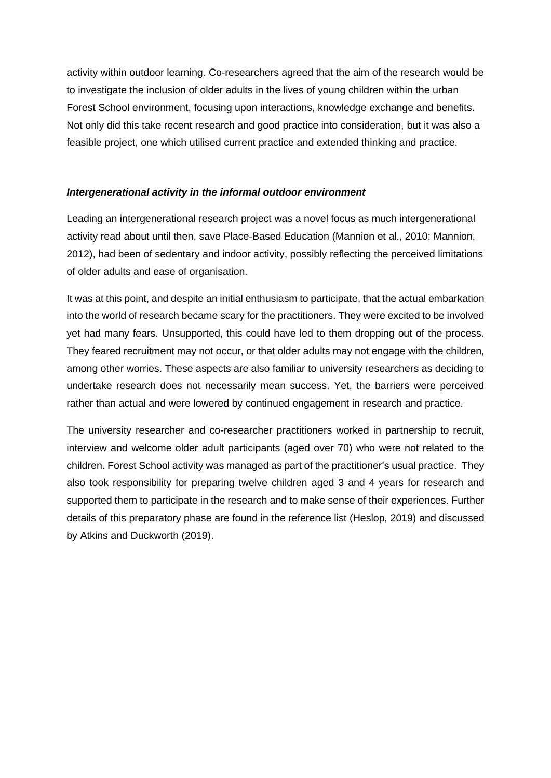activity within outdoor learning. Co-researchers agreed that the aim of the research would be to investigate the inclusion of older adults in the lives of young children within the urban Forest School environment, focusing upon interactions, knowledge exchange and benefits. Not only did this take recent research and good practice into consideration, but it was also a feasible project, one which utilised current practice and extended thinking and practice.

#### *Intergenerational activity in the informal outdoor environment*

Leading an intergenerational research project was a novel focus as much intergenerational activity read about until then, save Place-Based Education (Mannion et al., 2010; Mannion, 2012), had been of sedentary and indoor activity, possibly reflecting the perceived limitations of older adults and ease of organisation.

It was at this point, and despite an initial enthusiasm to participate, that the actual embarkation into the world of research became scary for the practitioners. They were excited to be involved yet had many fears. Unsupported, this could have led to them dropping out of the process. They feared recruitment may not occur, or that older adults may not engage with the children, among other worries. These aspects are also familiar to university researchers as deciding to undertake research does not necessarily mean success. Yet, the barriers were perceived rather than actual and were lowered by continued engagement in research and practice.

The university researcher and co-researcher practitioners worked in partnership to recruit, interview and welcome older adult participants (aged over 70) who were not related to the children. Forest School activity was managed as part of the practitioner's usual practice. They also took responsibility for preparing twelve children aged 3 and 4 years for research and supported them to participate in the research and to make sense of their experiences. Further details of this preparatory phase are found in the reference list (Heslop, 2019) and discussed by Atkins and Duckworth (2019).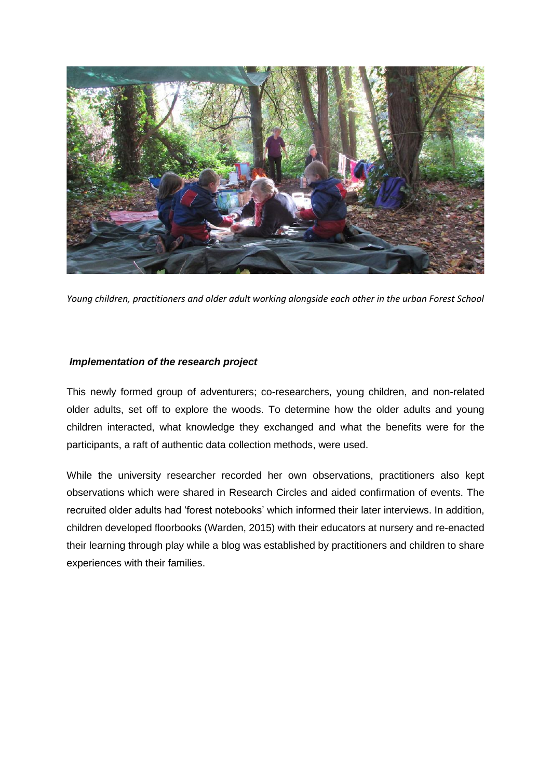

*Young children, practitioners and older adult working alongside each other in the urban Forest School*

## *Implementation of the research project*

This newly formed group of adventurers; co-researchers, young children, and non-related older adults, set off to explore the woods. To determine how the older adults and young children interacted, what knowledge they exchanged and what the benefits were for the participants, a raft of authentic data collection methods, were used.

While the university researcher recorded her own observations, practitioners also kept observations which were shared in Research Circles and aided confirmation of events. The recruited older adults had 'forest notebooks' which informed their later interviews. In addition, children developed floorbooks (Warden, 2015) with their educators at nursery and re-enacted their learning through play while a blog was established by practitioners and children to share experiences with their families.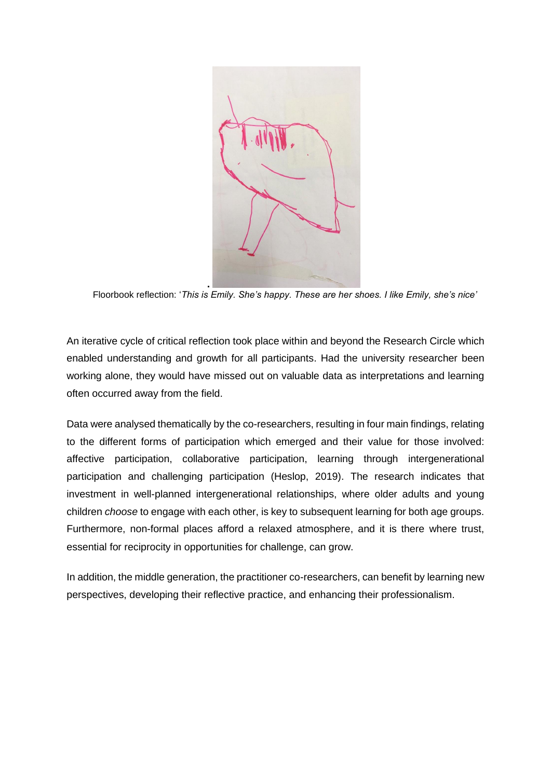

Floorbook reflection: '*This is Emily. She's happy. These are her shoes. I like Emily, she's nice'*

An iterative cycle of critical reflection took place within and beyond the Research Circle which enabled understanding and growth for all participants. Had the university researcher been working alone, they would have missed out on valuable data as interpretations and learning often occurred away from the field.

Data were analysed thematically by the co-researchers, resulting in four main findings, relating to the different forms of participation which emerged and their value for those involved: affective participation, collaborative participation, learning through intergenerational participation and challenging participation (Heslop, 2019). The research indicates that investment in well-planned intergenerational relationships, where older adults and young children *choose* to engage with each other, is key to subsequent learning for both age groups. Furthermore, non-formal places afford a relaxed atmosphere, and it is there where trust, essential for reciprocity in opportunities for challenge, can grow.

In addition, the middle generation, the practitioner co-researchers, can benefit by learning new perspectives, developing their reflective practice, and enhancing their professionalism.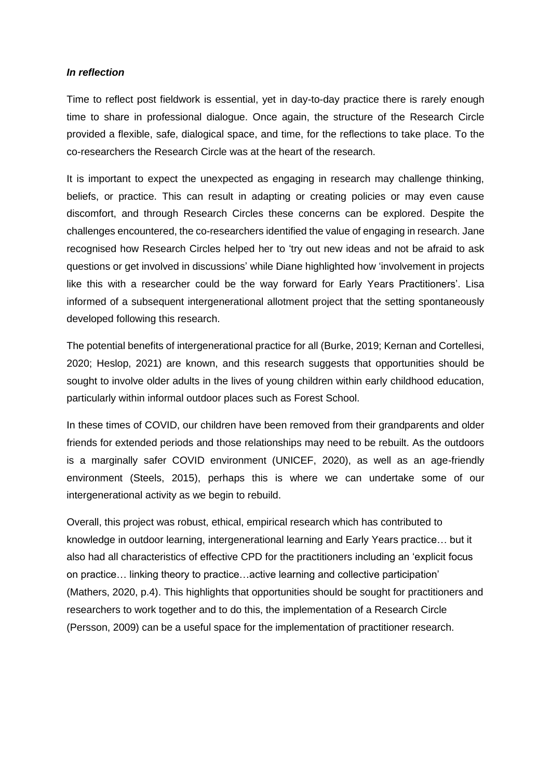#### *In reflection*

Time to reflect post fieldwork is essential, yet in day-to-day practice there is rarely enough time to share in professional dialogue. Once again, the structure of the Research Circle provided a flexible, safe, dialogical space, and time, for the reflections to take place. To the co-researchers the Research Circle was at the heart of the research.

It is important to expect the unexpected as engaging in research may challenge thinking, beliefs, or practice. This can result in adapting or creating policies or may even cause discomfort, and through Research Circles these concerns can be explored. Despite the challenges encountered, the co-researchers identified the value of engaging in research. Jane recognised how Research Circles helped her to 'try out new ideas and not be afraid to ask questions or get involved in discussions' while Diane highlighted how 'involvement in projects like this with a researcher could be the way forward for Early Years Practitioners'. Lisa informed of a subsequent intergenerational allotment project that the setting spontaneously developed following this research.

The potential benefits of intergenerational practice for all (Burke, 2019; Kernan and Cortellesi, 2020; Heslop, 2021) are known, and this research suggests that opportunities should be sought to involve older adults in the lives of young children within early childhood education, particularly within informal outdoor places such as Forest School.

In these times of COVID, our children have been removed from their grandparents and older friends for extended periods and those relationships may need to be rebuilt. As the outdoors is a marginally safer COVID environment (UNICEF, 2020), as well as an age-friendly environment (Steels, 2015), perhaps this is where we can undertake some of our intergenerational activity as we begin to rebuild.

Overall, this project was robust, ethical, empirical research which has contributed to knowledge in outdoor learning, intergenerational learning and Early Years practice… but it also had all characteristics of effective CPD for the practitioners including an 'explicit focus on practice… linking theory to practice…active learning and collective participation' (Mathers, 2020, p.4). This highlights that opportunities should be sought for practitioners and researchers to work together and to do this, the implementation of a Research Circle (Persson, 2009) can be a useful space for the implementation of practitioner research.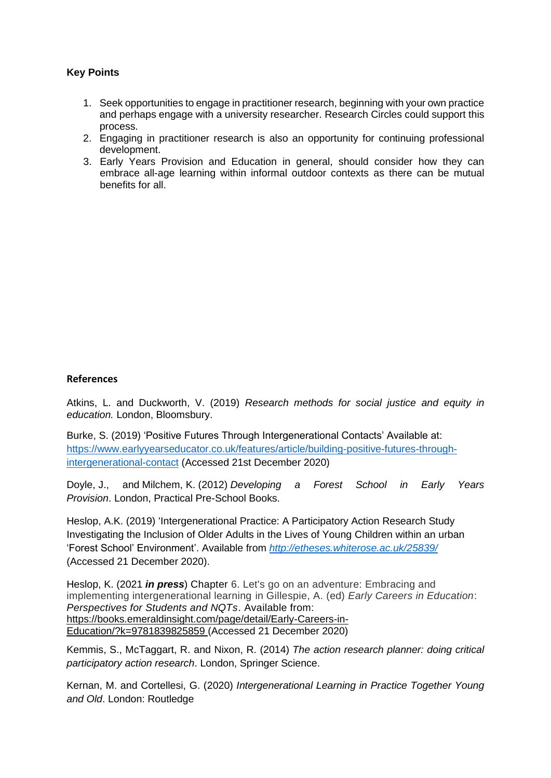# **Key Points**

- 1. Seek opportunities to engage in practitioner research, beginning with your own practice and perhaps engage with a university researcher. Research Circles could support this process.
- 2. Engaging in practitioner research is also an opportunity for continuing professional development.
- 3. Early Years Provision and Education in general, should consider how they can embrace all-age learning within informal outdoor contexts as there can be mutual benefits for all.

#### **References**

Atkins, L. and Duckworth, V. (2019) *Research methods for social justice and equity in education.* London, Bloomsbury.

Burke, S. (2019) 'Positive Futures Through Intergenerational Contacts' Available at: [https://www.earlyyearseducator.co.uk/features/article/building-positive-futures-through](https://www.earlyyearseducator.co.uk/features/article/building-positive-futures-through-intergenerational-contact)[intergenerational-contact](https://www.earlyyearseducator.co.uk/features/article/building-positive-futures-through-intergenerational-contact) (Accessed 21st December 2020)

Doyle, J., and Milchem, K. (2012) *Developing a Forest School in Early Years Provision*. London, Practical Pre-School Books.

Heslop, A.K. (2019) 'Intergenerational Practice: A Participatory Action Research Study Investigating the Inclusion of Older Adults in the Lives of Young Children within an urban 'Forest School' Environment'. Available from *<http://etheses.whiterose.ac.uk/25839/>* (Accessed 21 December 2020).

Heslop, K. (2021 *in press*) Chapter 6. Let's go on an adventure: Embracing and implementing intergenerational learning in Gillespie, A. (ed) *Early Careers in Education*: *Perspectives for Students and NQTs*. Available from: [https://books.emeraldinsight.com/page/detail/Early-Careers-in-](https://books.emeraldinsight.com/page/detail/Early-Careers-in-Education/?k=9781839825859)[Education/?k=9781839825859](https://books.emeraldinsight.com/page/detail/Early-Careers-in-Education/?k=9781839825859) (Accessed 21 December 2020)

Kemmis, S., McTaggart, R. and Nixon, R. (2014) *The action research planner: doing critical participatory action research*. London, Springer Science.

Kernan, M. and Cortellesi, G. (2020) *Intergenerational Learning in Practice Together Young and Old*. London: Routledge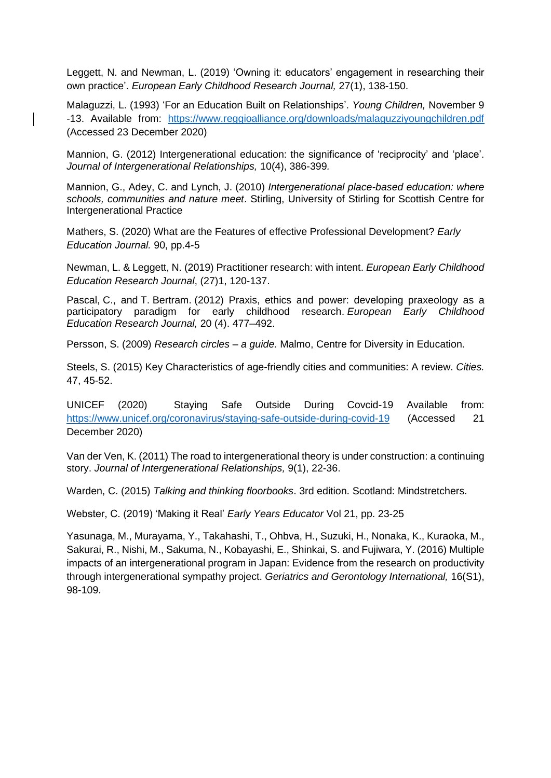Leggett, N. and Newman, L. (2019) 'Owning it: educators' engagement in researching their own practice'. *European Early Childhood Research Journal,* 27(1), 138-150.

Malaguzzi, L. (1993) 'For an Education Built on Relationships'. *Young Children,* November 9 -13. Available from: <https://www.reggioalliance.org/downloads/malaguzziyoungchildren.pdf> (Accessed 23 December 2020)

Mannion, G. (2012) Intergenerational education: the significance of 'reciprocity' and 'place'. *Journal of Intergenerational Relationships,* 10(4), 386-399*.*

Mannion, G., Adey, C. and Lynch, J. (2010) *Intergenerational place-based education: where schools, communities and nature meet*. Stirling, University of Stirling for Scottish Centre for Intergenerational Practice

Mathers, S. (2020) What are the Features of effective Professional Development? *Early Education Journal.* 90, pp.4-5

Newman, L. & Leggett, N. (2019) Practitioner research: with intent. *European Early Childhood Education Research Journal*, (27)1, 120-137.

Pascal, C., and T. Bertram. (2012) Praxis, ethics and power: developing praxeology as a participatory paradigm for early childhood research. *European Early Childhood Education Research Journal,* 20 (4). 477–492.

Persson, S. (2009) *Research circles – a guide.* Malmo, Centre for Diversity in Education.

Steels, S. (2015) Key Characteristics of age-friendly cities and communities: A review. *Cities.*  47, 45-52.

UNICEF (2020) Staying Safe Outside During Covcid-19 Available from: <https://www.unicef.org/coronavirus/staying-safe-outside-during-covid-19> (Accessed 21 December 2020)

Van der Ven, K. (2011) The road to intergenerational theory is under construction: a continuing story. *Journal of Intergenerational Relationships,* 9(1), 22-36.

Warden, C. (2015) *Talking and thinking floorbooks*. 3rd edition. Scotland: Mindstretchers.

Webster, C. (2019) 'Making it Real' *Early Years Educator* Vol 21, pp. 23-25

Yasunaga, M., Murayama, Y., Takahashi, T., Ohbva, H., Suzuki, H., Nonaka, K., Kuraoka, M., Sakurai, R., Nishi, M., Sakuma, N., Kobayashi, E., Shinkai, S. and Fujiwara, Y. (2016) Multiple impacts of an intergenerational program in Japan: Evidence from the research on productivity through intergenerational sympathy project. *Geriatrics and Gerontology International,* 16(S1), 98-109.